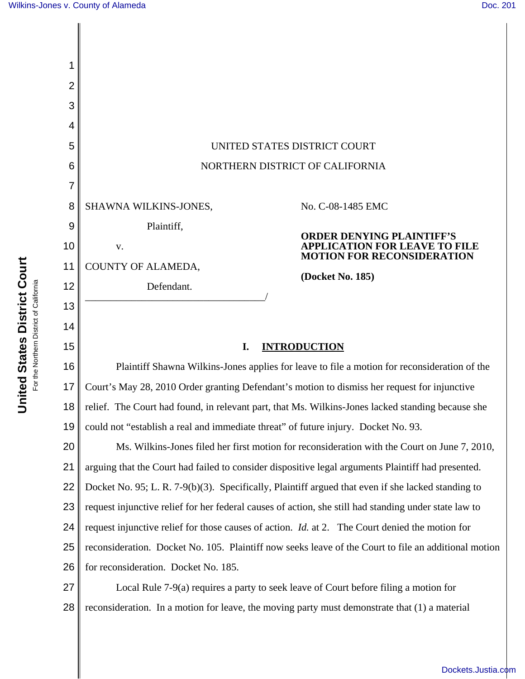| $\overline{2}$ |                                                                                                        |                                                                           |
|----------------|--------------------------------------------------------------------------------------------------------|---------------------------------------------------------------------------|
| 3              |                                                                                                        |                                                                           |
| 4              |                                                                                                        |                                                                           |
| 5              | UNITED STATES DISTRICT COURT                                                                           |                                                                           |
| 6              | NORTHERN DISTRICT OF CALIFORNIA                                                                        |                                                                           |
| 7              |                                                                                                        |                                                                           |
| 8              | SHAWNA WILKINS-JONES,                                                                                  | No. C-08-1485 EMC                                                         |
| 9              | Plaintiff,                                                                                             | <b>ORDER DENYING PLAINTIFF'S</b>                                          |
| 10             | V.                                                                                                     | <b>APPLICATION FOR LEAVE TO FILE</b><br><b>MOTION FOR RECONSIDERATION</b> |
| 11             | COUNTY OF ALAMEDA,                                                                                     | (Docket No. 185)                                                          |
| 12             | Defendant.                                                                                             |                                                                           |
| 13             |                                                                                                        |                                                                           |
| 14             |                                                                                                        |                                                                           |
| 15             | I.<br><b>INTRODUCTION</b>                                                                              |                                                                           |
| 16             | Plaintiff Shawna Wilkins-Jones applies for leave to file a motion for reconsideration of the           |                                                                           |
| 17             | Court's May 28, 2010 Order granting Defendant's motion to dismiss her request for injunctive           |                                                                           |
| 18             | relief. The Court had found, in relevant part, that Ms. Wilkins-Jones lacked standing because she      |                                                                           |
| 19             | could not "establish a real and immediate threat" of future injury. Docket No. 93.                     |                                                                           |
| 20             | Ms. Wilkins-Jones filed her first motion for reconsideration with the Court on June 7, 2010,           |                                                                           |
| 21             | arguing that the Court had failed to consider dispositive legal arguments Plaintiff had presented.     |                                                                           |
| 22             | Docket No. 95; L. R. 7-9(b)(3). Specifically, Plaintiff argued that even if she lacked standing to     |                                                                           |
| 23             | request injunctive relief for her federal causes of action, she still had standing under state law to  |                                                                           |
| 24             | request injunctive relief for those causes of action. <i>Id.</i> at 2. The Court denied the motion for |                                                                           |
| 25             | reconsideration. Docket No. 105. Plaintiff now seeks leave of the Court to file an additional motion   |                                                                           |
| 26             | for reconsideration. Docket No. 185.                                                                   |                                                                           |

27 28 Local Rule 7-9(a) requires a party to seek leave of Court before filing a motion for reconsideration. In a motion for leave, the moving party must demonstrate that (1) a material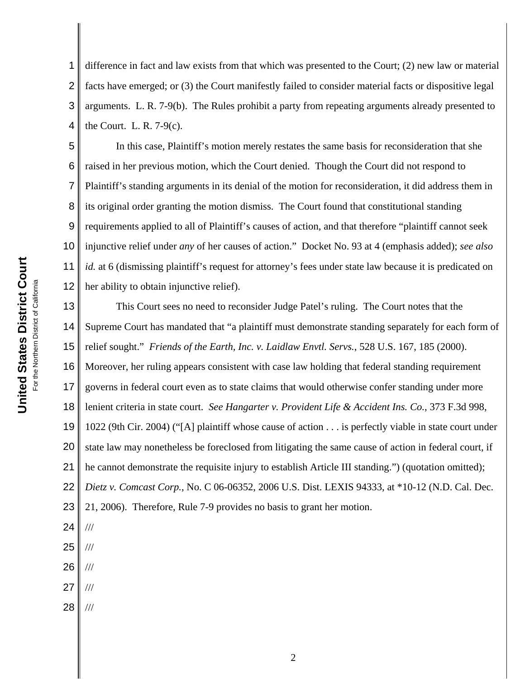1 2 3 4 difference in fact and law exists from that which was presented to the Court; (2) new law or material facts have emerged; or (3) the Court manifestly failed to consider material facts or dispositive legal arguments. L. R. 7-9(b). The Rules prohibit a party from repeating arguments already presented to the Court. L. R. 7-9(c).

5 6 7 8 9 10 11 12 In this case, Plaintiff's motion merely restates the same basis for reconsideration that she raised in her previous motion, which the Court denied. Though the Court did not respond to Plaintiff's standing arguments in its denial of the motion for reconsideration, it did address them in its original order granting the motion dismiss. The Court found that constitutional standing requirements applied to all of Plaintiff's causes of action, and that therefore "plaintiff cannot seek injunctive relief under *any* of her causes of action." Docket No. 93 at 4 (emphasis added); *see also id.* at 6 (dismissing plaintiff's request for attorney's fees under state law because it is predicated on her ability to obtain injunctive relief).

13 14 15 16 17 18 19 20 21 22 23 24 25 This Court sees no need to reconsider Judge Patel's ruling. The Court notes that the Supreme Court has mandated that "a plaintiff must demonstrate standing separately for each form of relief sought." *Friends of the Earth, Inc. v. Laidlaw Envtl. Servs.*, 528 U.S. 167, 185 (2000). Moreover, her ruling appears consistent with case law holding that federal standing requirement governs in federal court even as to state claims that would otherwise confer standing under more lenient criteria in state court. *See Hangarter v. Provident Life & Accident Ins. Co.*, 373 F.3d 998, 1022 (9th Cir. 2004) ("[A] plaintiff whose cause of action . . . is perfectly viable in state court under state law may nonetheless be foreclosed from litigating the same cause of action in federal court, if he cannot demonstrate the requisite injury to establish Article III standing.") (quotation omitted); *Dietz v. Comcast Corp.*, No. C 06-06352, 2006 U.S. Dist. LEXIS 94333, at \*10-12 (N.D. Cal. Dec. 21, 2006). Therefore, Rule 7-9 provides no basis to grant her motion. /// ///

26 ///

- 27 ///
- 28 ///